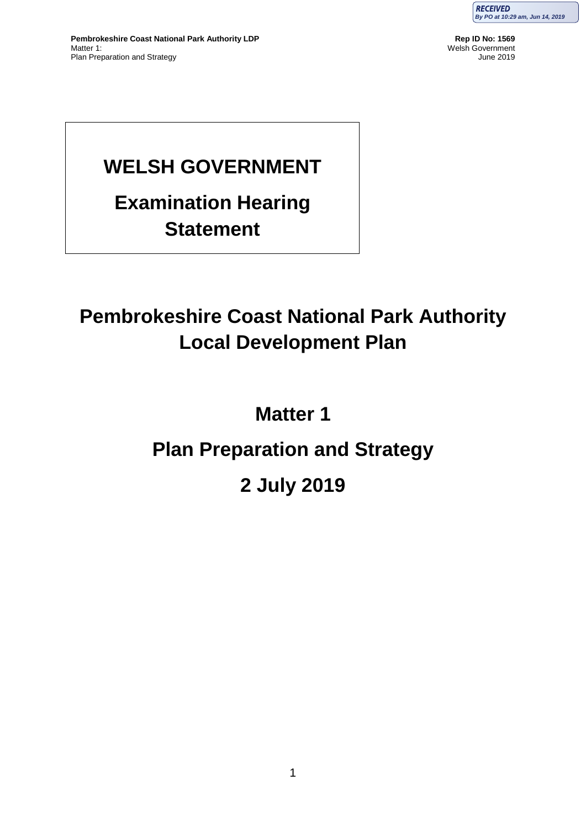

# **WELSH GOVERNMENT**

# **Examination Hearing Statement**

# **Pembrokeshire Coast National Park Authority Local Development Plan**

# **Matter 1**

# **Plan Preparation and Strategy**

# **2 July 2019**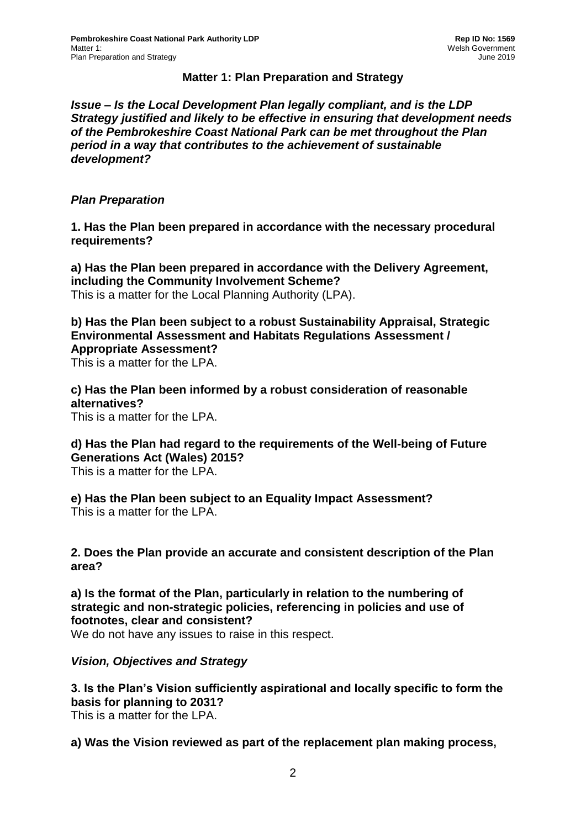### **Matter 1: Plan Preparation and Strategy**

*Issue – Is the Local Development Plan legally compliant, and is the LDP Strategy justified and likely to be effective in ensuring that development needs of the Pembrokeshire Coast National Park can be met throughout the Plan period in a way that contributes to the achievement of sustainable development?*

#### *Plan Preparation*

**1. Has the Plan been prepared in accordance with the necessary procedural requirements?**

**a) Has the Plan been prepared in accordance with the Delivery Agreement, including the Community Involvement Scheme?** This is a matter for the Local Planning Authority (LPA).

**b) Has the Plan been subject to a robust Sustainability Appraisal, Strategic Environmental Assessment and Habitats Regulations Assessment / Appropriate Assessment?**

This is a matter for the LPA.

**c) Has the Plan been informed by a robust consideration of reasonable alternatives?** This is a matter for the LPA.

**d) Has the Plan had regard to the requirements of the Well-being of Future Generations Act (Wales) 2015?** This is a matter for the LPA.

**e) Has the Plan been subject to an Equality Impact Assessment?** This is a matter for the LPA.

#### **2. Does the Plan provide an accurate and consistent description of the Plan area?**

**a) Is the format of the Plan, particularly in relation to the numbering of strategic and non-strategic policies, referencing in policies and use of footnotes, clear and consistent?**

We do not have any issues to raise in this respect.

# *Vision, Objectives and Strategy*

**3. Is the Plan's Vision sufficiently aspirational and locally specific to form the basis for planning to 2031?**

This is a matter for the LPA.

**a) Was the Vision reviewed as part of the replacement plan making process,**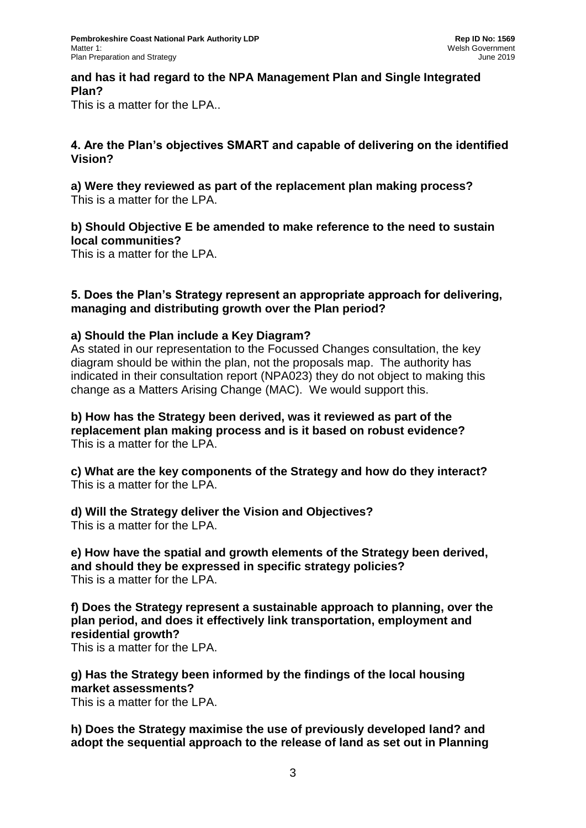### **and has it had regard to the NPA Management Plan and Single Integrated Plan?**

This is a matter for the LPA..

### **4. Are the Plan's objectives SMART and capable of delivering on the identified Vision?**

**a) Were they reviewed as part of the replacement plan making process?** This is a matter for the LPA.

### **b) Should Objective E be amended to make reference to the need to sustain local communities?**

This is a matter for the LPA.

#### **5. Does the Plan's Strategy represent an appropriate approach for delivering, managing and distributing growth over the Plan period?**

#### **a) Should the Plan include a Key Diagram?**

As stated in our representation to the Focussed Changes consultation, the key diagram should be within the plan, not the proposals map. The authority has indicated in their consultation report (NPA023) they do not object to making this change as a Matters Arising Change (MAC). We would support this.

**b) How has the Strategy been derived, was it reviewed as part of the replacement plan making process and is it based on robust evidence?** This is a matter for the LPA.

**c) What are the key components of the Strategy and how do they interact?** This is a matter for the LPA.

**d) Will the Strategy deliver the Vision and Objectives?** This is a matter for the LPA.

**e) How have the spatial and growth elements of the Strategy been derived, and should they be expressed in specific strategy policies?** This is a matter for the LPA.

**f) Does the Strategy represent a sustainable approach to planning, over the plan period, and does it effectively link transportation, employment and residential growth?**

This is a matter for the LPA.

**g) Has the Strategy been informed by the findings of the local housing market assessments?** This is a matter for the LPA.

**h) Does the Strategy maximise the use of previously developed land? and adopt the sequential approach to the release of land as set out in Planning**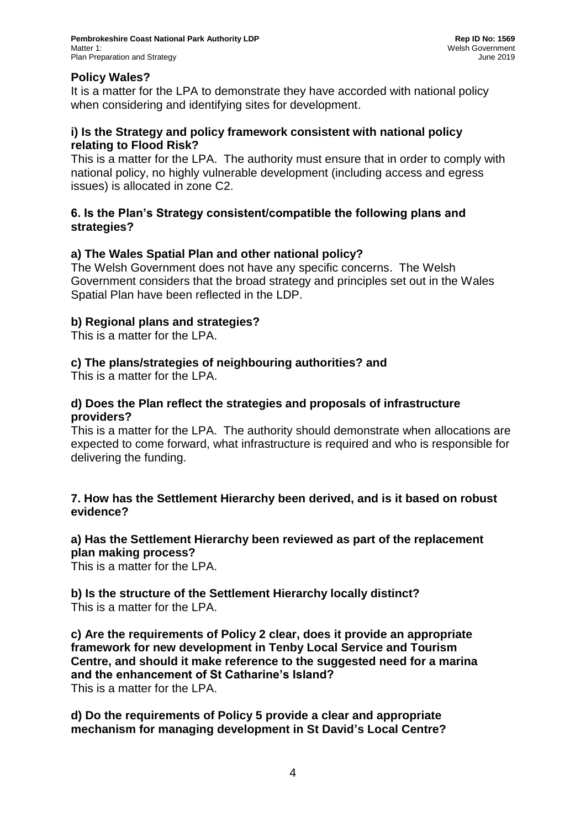# **Policy Wales?**

It is a matter for the LPA to demonstrate they have accorded with national policy when considering and identifying sites for development.

### **i) Is the Strategy and policy framework consistent with national policy relating to Flood Risk?**

This is a matter for the LPA. The authority must ensure that in order to comply with national policy, no highly vulnerable development (including access and egress issues) is allocated in zone C2.

### **6. Is the Plan's Strategy consistent/compatible the following plans and strategies?**

# **a) The Wales Spatial Plan and other national policy?**

The Welsh Government does not have any specific concerns. The Welsh Government considers that the broad strategy and principles set out in the Wales Spatial Plan have been reflected in the LDP.

# **b) Regional plans and strategies?**

This is a matter for the LPA.

# **c) The plans/strategies of neighbouring authorities? and**

This is a matter for the LPA.

#### **d) Does the Plan reflect the strategies and proposals of infrastructure providers?**

This is a matter for the LPA. The authority should demonstrate when allocations are expected to come forward, what infrastructure is required and who is responsible for delivering the funding.

### **7. How has the Settlement Hierarchy been derived, and is it based on robust evidence?**

# **a) Has the Settlement Hierarchy been reviewed as part of the replacement plan making process?**

This is a matter for the LPA.

### **b) Is the structure of the Settlement Hierarchy locally distinct?** This is a matter for the LPA.

**c) Are the requirements of Policy 2 clear, does it provide an appropriate framework for new development in Tenby Local Service and Tourism Centre, and should it make reference to the suggested need for a marina and the enhancement of St Catharine's Island?** This is a matter for the LPA.

**d) Do the requirements of Policy 5 provide a clear and appropriate mechanism for managing development in St David's Local Centre?**